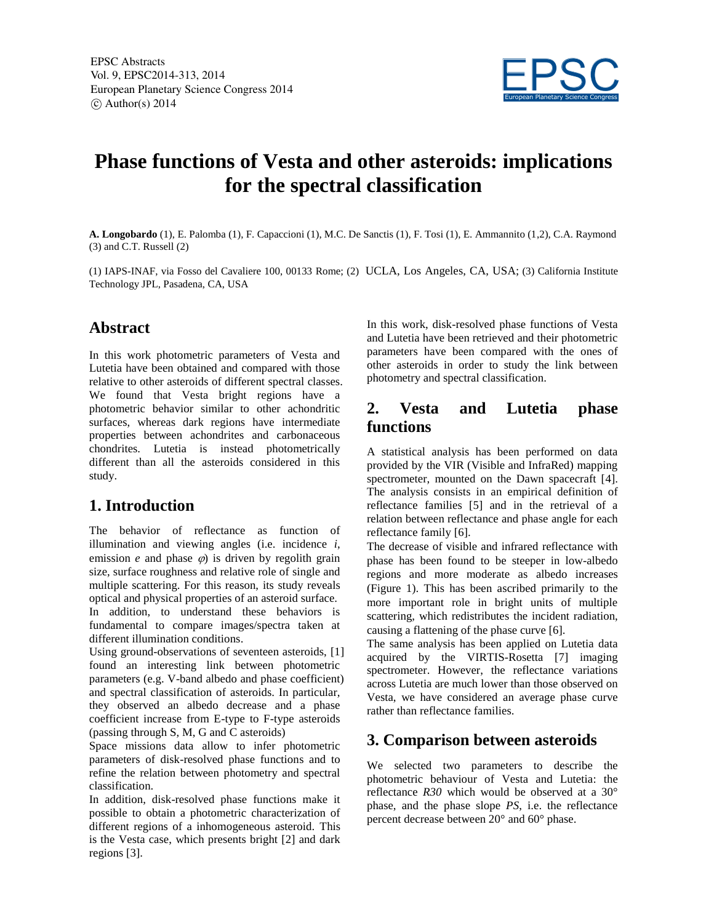

# **Phase functions of Vesta and other asteroids: implications for the spectral classification**

**A. Longobardo** (1), E. Palomba (1), F. Capaccioni (1), M.C. De Sanctis (1), F. Tosi (1), E. Ammannito (1,2), C.A. Raymond (3) and C.T. Russell (2)

(1) IAPS-INAF, via Fosso del Cavaliere 100, 00133 Rome; (2) UCLA, Los Angeles, CA, USA; (3) California Institute Technology JPL, Pasadena, CA, USA

#### **Abstract**

In this work photometric parameters of Vesta and Lutetia have been obtained and compared with those relative to other asteroids of different spectral classes. We found that Vesta bright regions have a photometric behavior similar to other achondritic surfaces, whereas dark regions have intermediate properties between achondrites and carbonaceous chondrites. Lutetia is instead photometrically different than all the asteroids considered in this study.

## **1. Introduction**

The behavior of reflectance as function of illumination and viewing angles (i.e. incidence *i*, emission  $e$  and phase  $\varphi$ ) is driven by regolith grain size, surface roughness and relative role of single and multiple scattering. For this reason, its study reveals optical and physical properties of an asteroid surface. In addition, to understand these behaviors is

fundamental to compare images/spectra taken at different illumination conditions.

Using ground-observations of seventeen asteroids, [1] found an interesting link between photometric parameters (e.g. V-band albedo and phase coefficient) and spectral classification of asteroids. In particular, they observed an albedo decrease and a phase coefficient increase from E-type to F-type asteroids (passing through S, M, G and C asteroids)

Space missions data allow to infer photometric parameters of disk-resolved phase functions and to refine the relation between photometry and spectral classification.

In addition, disk-resolved phase functions make it possible to obtain a photometric characterization of different regions of a inhomogeneous asteroid. This is the Vesta case, which presents bright [2] and dark regions [3].

In this work, disk-resolved phase functions of Vesta and Lutetia have been retrieved and their photometric parameters have been compared with the ones of other asteroids in order to study the link between photometry and spectral classification.

#### **2. Vesta and Lutetia phase functions**

A statistical analysis has been performed on data provided by the VIR (Visible and InfraRed) mapping spectrometer, mounted on the Dawn spacecraft [4]. The analysis consists in an empirical definition of reflectance families [5] and in the retrieval of a relation between reflectance and phase angle for each reflectance family [6].

The decrease of visible and infrared reflectance with phase has been found to be steeper in low-albedo regions and more moderate as albedo increases (Figure 1). This has been ascribed primarily to the more important role in bright units of multiple scattering, which redistributes the incident radiation, causing a flattening of the phase curve [6].

The same analysis has been applied on Lutetia data acquired by the VIRTIS-Rosetta [7] imaging spectrometer. However, the reflectance variations across Lutetia are much lower than those observed on Vesta, we have considered an average phase curve rather than reflectance families.

### **3. Comparison between asteroids**

We selected two parameters to describe the photometric behaviour of Vesta and Lutetia: the reflectance *R30* which would be observed at a 30° phase, and the phase slope *PS*, i.e. the reflectance percent decrease between 20° and 60° phase.